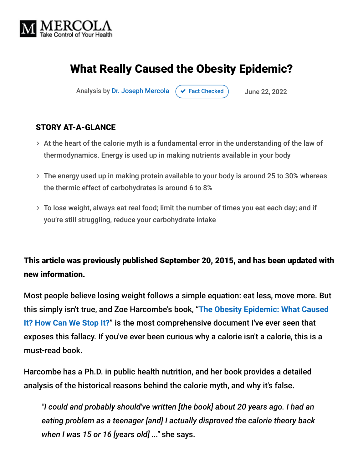

# What Really Caused the Obesity Epidemic?

Analysis by [Dr. Joseph Mercola](https://www.mercola.com/forms/background.htm)  $\left( \right. \times$  [Fact Checked](javascript:void(0))  $\left. \right)$  June 22, 2022

#### STORY AT-A-GLANCE

- $>$  At the heart of the calorie myth is a fundamental error in the understanding of the law of thermodynamics. Energy is used up in making nutrients available in your body
- The energy used up in making protein available to your body is around 25 to 30% whereas the thermic effect of carbohydrates is around 6 to 8%
- To lose weight, always eat real food; limit the number of times you eat each day; and if you're still struggling, reduce your carbohydrate intake

#### This article was previously published September 20, 2015, and has been updated with new information.

Most people believe losing weight follows a simple equation: eat less, move more. But this simply isn't true, and Zoe Harcombe's book, "**The Obesity Epidemic: What Caused It? How Can We Stop It?**[" is the most comprehensive document I've ever seen that](http://www.amazon.com/The-Obesity-Epidemic-What-caused/dp/1907797475) exposes this fallacy. If you've ever been curious why a calorie isn't a calorie, this is a must-read book.

Harcombe has a Ph.D. in public health nutrition, and her book provides a detailed analysis of the historical reasons behind the calorie myth, and why it's false.

*"I could and probably should've written [the book] about 20 years ago. I had an eating problem as a teenager [and] I actually disproved the calorie theory back when I was 15 or 16 [years old] ..."* she says.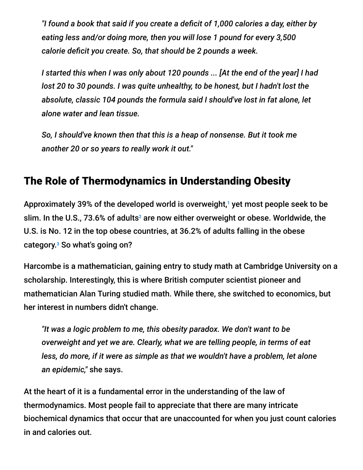*"I found a book that said if you create a deficit of 1,000 calories a day, either by eating less and/or doing more, then you will lose 1 pound for every 3,500 calorie deficit you create. So, that should be 2 pounds a week.*

*I started this when I was only about 120 pounds ... [At the end of the year] I had lost 20 to 30 pounds. I was quite unhealthy, to be honest, but I hadn't lost the absolute, classic 104 pounds the formula said I should've lost in fat alone, let alone water and lean tissue.*

*So, I should've known then that this is a heap of nonsense. But it took me another 20 or so years to really work it out."*

# The Role of Thermodynamics in Understanding Obesity

Approximately 39% of the developed world is overweight, $^\text{\tiny{1}}$  yet most people seek to be slim. In the U.S., 73.6% of adults<sup>2</sup> are now either overweight or obese. Worldwide, the U.S. is No. 12 in the top obese countries, at 36.2% of adults falling in the obese category.<sup>3</sup> So what's going on?

Harcombe is a mathematician, gaining entry to study math at Cambridge University on a scholarship. Interestingly, this is where British computer scientist pioneer and mathematician Alan Turing studied math. While there, she switched to economics, but her interest in numbers didn't change.

*"It was a logic problem to me, this obesity paradox. We don't want to be overweight and yet we are. Clearly, what we are telling people, in terms of eat less, do more, if it were as simple as that we wouldn't have a problem, let alone an epidemic,"* she says.

At the heart of it is a fundamental error in the understanding of the law of thermodynamics. Most people fail to appreciate that there are many intricate biochemical dynamics that occur that are unaccounted for when you just count calories in and calories out.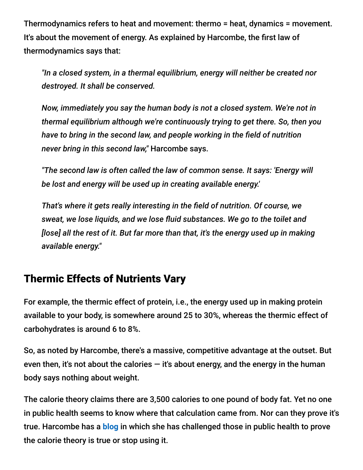Thermodynamics refers to heat and movement: thermo = heat, dynamics = movement. It's about the movement of energy. As explained by Harcombe, the first law of thermodynamics says that:

*"In a closed system, in a thermal equilibrium, energy will neither be created nor destroyed. It shall be conserved.*

*Now, immediately you say the human body is not a closed system. We're not in thermal equilibrium although we're continuously trying to get there. So, then you have to bring in the second law, and people working in the field of nutrition never bring in this second law,"* Harcombe says.

*"The second law is often called the law of common sense. It says: 'Energy will be lost and energy will be used up in creating available energy.'*

*That's where it gets really interesting in the field of nutrition. Of course, we sweat, we lose liquids, and we lose fluid substances. We go to the toilet and [lose] all the rest of it. But far more than that, it's the energy used up in making available energy."*

#### Thermic Effects of Nutrients Vary

For example, the thermic effect of protein, i.e., the energy used up in making protein available to your body, is somewhere around 25 to 30%, whereas the thermic effect of carbohydrates is around 6 to 8%.

So, as noted by Harcombe, there's a massive, competitive advantage at the outset. But even then, it's not about the calories  $-$  it's about energy, and the energy in the human body says nothing about weight.

The calorie theory claims there are 3,500 calories to one pound of body fat. Yet no one in public health seems to know where that calculation came from. Nor can they prove it's true. Harcombe has a **[blog](http://www.zoeharcombe.com/2014/06/the-calorie-theory-prove-it-or-lose-it/)** in which she has challenged those in public health to prove the calorie theory is true or stop using it.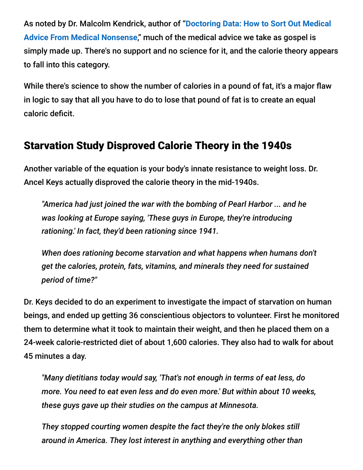As noted by Dr. Malcolm Kendrick, author of "**Doctoring Data: How to Sort Out Medical Advice From Medical Nonsense**[," much of the medical advice we take as gospel is](https://www.amazon.com/Doctoring-Data-medical-advice-nonsense/dp/1907797467/ref=asc_df_1907797467/?tag=hyprod-20&linkCode=df0&hvadid=312031138203&hvpos=&hvnetw=g&hvrand=5418055028804459855&hvpone=&hvptwo=&hvqmt=&hvdev=c&hvdvcmdl=&hvlocint=&hvlocphy=9016213&hvtargid=pla-569091299973&psc=1) simply made up. There's no support and no science for it, and the calorie theory appears to fall into this category.

While there's science to show the number of calories in a pound of fat, it's a major flaw in logic to say that all you have to do to lose that pound of fat is to create an equal caloric deficit.

# Starvation Study Disproved Calorie Theory in the 1940s

Another variable of the equation is your body's innate resistance to weight loss. Dr. Ancel Keys actually disproved the calorie theory in the mid-1940s.

*"America had just joined the war with the bombing of Pearl Harbor ... and he was looking at Europe saying, 'These guys in Europe, they're introducing rationing.' In fact, they'd been rationing since 1941.*

*When does rationing become starvation and what happens when humans don't get the calories, protein, fats, vitamins, and minerals they need for sustained period of time?"*

Dr. Keys decided to do an experiment to investigate the impact of starvation on human beings, and ended up getting 36 conscientious objectors to volunteer. First he monitored them to determine what it took to maintain their weight, and then he placed them on a 24-week calorie-restricted diet of about 1,600 calories. They also had to walk for about 45 minutes a day.

*"Many dietitians today would say, 'That's not enough in terms of eat less, do more. You need to eat even less and do even more.' But within about 10 weeks, these guys gave up their studies on the campus at Minnesota.*

*They stopped courting women despite the fact they're the only blokes still around in America. They lost interest in anything and everything other than*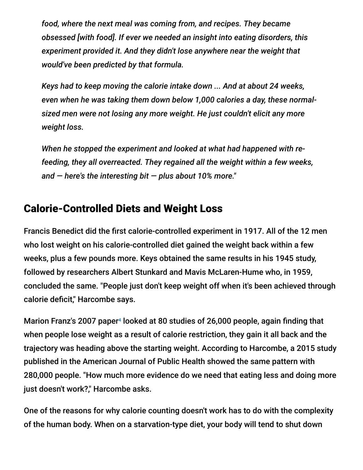*food, where the next meal was coming from, and recipes. They became obsessed [with food]. If ever we needed an insight into eating disorders, this experiment provided it. And they didn't lose anywhere near the weight that would've been predicted by that formula.*

*Keys had to keep moving the calorie intake down ... And at about 24 weeks, even when he was taking them down below 1,000 calories a day, these normalsized men were not losing any more weight. He just couldn't elicit any more weight loss.*

*When he stopped the experiment and looked at what had happened with refeeding, they all overreacted. They regained all the weight within a few weeks, and — here's the interesting bit — plus about 10% more."*

# Calorie-Controlled Diets and Weight Loss

Francis Benedict did the first calorie-controlled experiment in 1917. All of the 12 men who lost weight on his calorie-controlled diet gained the weight back within a few weeks, plus a few pounds more. Keys obtained the same results in his 1945 study, followed by researchers Albert Stunkard and Mavis McLaren-Hume who, in 1959, concluded the same. "People just don't keep weight off when it's been achieved through calorie deficit," Harcombe says.

Marion Franz's 2007 paper<sup>4</sup> looked at 80 studies of 26,000 people, again finding that when people lose weight as a result of calorie restriction, they gain it all back and the trajectory was heading above the starting weight. According to Harcombe, a 2015 study published in the American Journal of Public Health showed the same pattern with 280,000 people. "How much more evidence do we need that eating less and doing more just doesn't work?," Harcombe asks.

One of the reasons for why calorie counting doesn't work has to do with the complexity of the human body. When on a starvation-type diet, your body will tend to shut down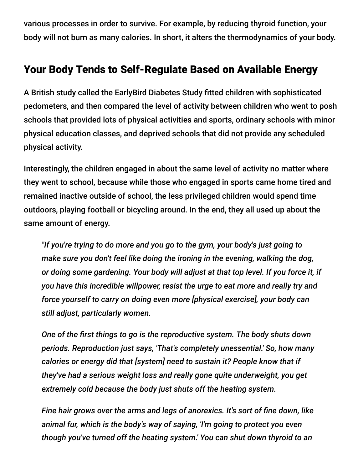various processes in order to survive. For example, by reducing thyroid function, your body will not burn as many calories. In short, it alters the thermodynamics of your body.

### Your Body Tends to Self-Regulate Based on Available Energy

A British study called the EarlyBird Diabetes Study fitted children with sophisticated pedometers, and then compared the level of activity between children who went to posh schools that provided lots of physical activities and sports, ordinary schools with minor physical education classes, and deprived schools that did not provide any scheduled physical activity.

Interestingly, the children engaged in about the same level of activity no matter where they went to school, because while those who engaged in sports came home tired and remained inactive outside of school, the less privileged children would spend time outdoors, playing football or bicycling around. In the end, they all used up about the same amount of energy.

*"If you're trying to do more and you go to the gym, your body's just going to make sure you don't feel like doing the ironing in the evening, walking the dog, or doing some gardening. Your body will adjust at that top level. If you force it, if you have this incredible willpower, resist the urge to eat more and really try and force yourself to carry on doing even more [physical exercise], your body can still adjust, particularly women.*

*One of the first things to go is the reproductive system. The body shuts down periods. Reproduction just says, 'That's completely unessential.' So, how many calories or energy did that [system] need to sustain it? People know that if they've had a serious weight loss and really gone quite underweight, you get extremely cold because the body just shuts off the heating system.*

*Fine hair grows over the arms and legs of anorexics. It's sort of fine down, like animal fur, which is the body's way of saying, 'I'm going to protect you even though you've turned off the heating system.' You can shut down thyroid to an*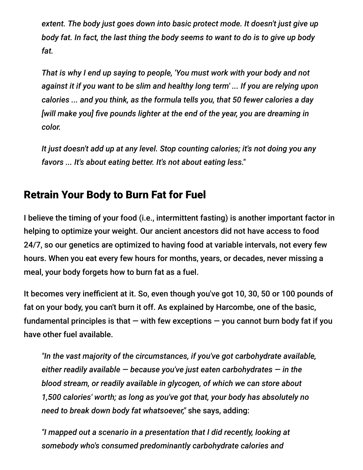*extent. The body just goes down into basic protect mode. It doesn't just give up body fat. In fact, the last thing the body seems to want to do is to give up body fat.*

*That is why I end up saying to people, 'You must work with your body and not against it if you want to be slim and healthy long term' ... If you are relying upon calories ... and you think, as the formula tells you, that 50 fewer calories a day [will make you] five pounds lighter at the end of the year, you are dreaming in color.*

*It just doesn't add up at any level. Stop counting calories; it's not doing you any favors ... It's about eating better. It's not about eating less."*

# Retrain Your Body to Burn Fat for Fuel

I believe the timing of your food (i.e., intermittent fasting) is another important factor in helping to optimize your weight. Our ancient ancestors did not have access to food 24/7, so our genetics are optimized to having food at variable intervals, not every few hours. When you eat every few hours for months, years, or decades, never missing a meal, your body forgets how to burn fat as a fuel.

It becomes very inefficient at it. So, even though you've got 10, 30, 50 or 100 pounds of fat on your body, you can't burn it off. As explained by Harcombe, one of the basic, fundamental principles is that  $-$  with few exceptions  $-$  you cannot burn body fat if you have other fuel available.

*"In the vast majority of the circumstances, if you've got carbohydrate available, either readily available — because you've just eaten carbohydrates — in the blood stream, or readily available in glycogen, of which we can store about 1,500 calories' worth; as long as you've got that, your body has absolutely no need to break down body fat whatsoever,"* she says, adding:

*"I mapped out a scenario in a presentation that I did recently, looking at somebody who's consumed predominantly carbohydrate calories and*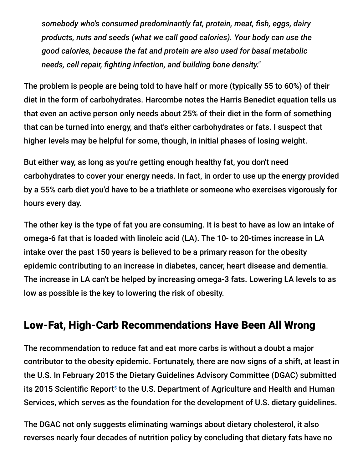*somebody who's consumed predominantly fat, protein, meat, fish, eggs, dairy products, nuts and seeds (what we call good calories). Your body can use the good calories, because the fat and protein are also used for basal metabolic needs, cell repair, fighting infection, and building bone density."*

The problem is people are being told to have half or more (typically 55 to 60%) of their diet in the form of carbohydrates. Harcombe notes the Harris Benedict equation tells us that even an active person only needs about 25% of their diet in the form of something that can be turned into energy, and that's either carbohydrates or fats. I suspect that higher levels may be helpful for some, though, in initial phases of losing weight.

But either way, as long as you're getting enough healthy fat, you don't need carbohydrates to cover your energy needs. In fact, in order to use up the energy provided by a 55% carb diet you'd have to be a triathlete or someone who exercises vigorously for hours every day.

The other key is the type of fat you are consuming. It is best to have as low an intake of omega-6 fat that is loaded with linoleic acid (LA). The 10- to 20-times increase in LA intake over the past 150 years is believed to be a primary reason for the obesity epidemic contributing to an increase in diabetes, cancer, heart disease and dementia. The increase in LA can't be helped by increasing omega-3 fats. Lowering LA levels to as low as possible is the key to lowering the risk of obesity.

#### Low-Fat, High-Carb Recommendations Have Been All Wrong

The recommendation to reduce fat and eat more carbs is without a doubt a major contributor to the obesity epidemic. Fortunately, there are now signs of a shift, at least in the U.S. In February 2015 the Dietary Guidelines Advisory Committee (DGAC) submitted its 2015 Scientific Report<sup>5</sup> to the U.S. Department of Agriculture and Health and Human Services, which serves as the foundation for the development of U.S. dietary guidelines.

The DGAC not only suggests eliminating warnings about dietary cholesterol, it also reverses nearly four decades of nutrition policy by concluding that dietary fats have no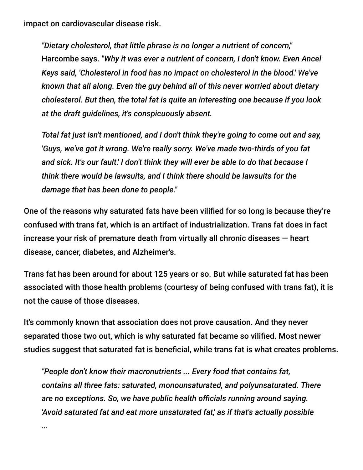impact on cardiovascular disease risk.

*"Dietary cholesterol, that little phrase is no longer a nutrient of concern,"* Harcombe says. *"Why it was ever a nutrient of concern, I don't know. Even Ancel Keys said, 'Cholesterol in food has no impact on cholesterol in the blood.' We've known that all along. Even the guy behind all of this never worried about dietary cholesterol. But then, the total fat is quite an interesting one because if you look at the draft guidelines, it's conspicuously absent.*

*Total fat just isn't mentioned, and I don't think they're going to come out and say, 'Guys, we've got it wrong. We're really sorry. We've made two-thirds of you fat and sick. It's our fault.' I don't think they will ever be able to do that because I think there would be lawsuits, and I think there should be lawsuits for the damage that has been done to people."*

One of the reasons why saturated fats have been vilified for so long is because they're confused with trans fat, which is an artifact of industrialization. Trans fat does in fact increase your risk of premature death from virtually all chronic diseases — heart disease, cancer, diabetes, and Alzheimer's.

Trans fat has been around for about 125 years or so. But while saturated fat has been associated with those health problems (courtesy of being confused with trans fat), it is not the cause of those diseases.

It's commonly known that association does not prove causation. And they never separated those two out, which is why saturated fat became so vilified. Most newer studies suggest that saturated fat is beneficial, while trans fat is what creates problems.

*"People don't know their macronutrients ... Every food that contains fat, contains all three fats: saturated, monounsaturated, and polyunsaturated. There are no exceptions. So, we have public health officials running around saying. 'Avoid saturated fat and eat more unsaturated fat,' as if that's actually possible*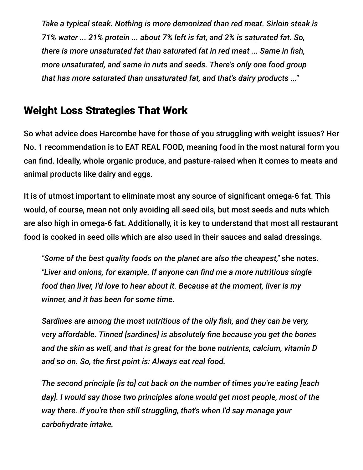*Take a typical steak. Nothing is more demonized than red meat. Sirloin steak is 71% water ... 21% protein ... about 7% left is fat, and 2% is saturated fat. So, there is more unsaturated fat than saturated fat in red meat ... Same in fish, more unsaturated, and same in nuts and seeds. There's only one food group that has more saturated than unsaturated fat, and that's dairy products ..."*

#### Weight Loss Strategies That Work

So what advice does Harcombe have for those of you struggling with weight issues? Her No. 1 recommendation is to EAT REAL FOOD, meaning food in the most natural form you can find. Ideally, whole organic produce, and pasture-raised when it comes to meats and animal products like dairy and eggs.

It is of utmost important to eliminate most any source of significant omega-6 fat. This would, of course, mean not only avoiding all seed oils, but most seeds and nuts which are also high in omega-6 fat. Additionally, it is key to understand that most all restaurant food is cooked in seed oils which are also used in their sauces and salad dressings.

*"Some of the best quality foods on the planet are also the cheapest,"* she notes. *"Liver and onions, for example. If anyone can find me a more nutritious single food than liver, I'd love to hear about it. Because at the moment, liver is my winner, and it has been for some time.*

*Sardines are among the most nutritious of the oily fish, and they can be very, very affordable. Tinned [sardines] is absolutely fine because you get the bones and the skin as well, and that is great for the bone nutrients, calcium, vitamin D and so on. So, the first point is: Always eat real food.*

*The second principle [is to] cut back on the number of times you're eating [each day]. I would say those two principles alone would get most people, most of the way there. If you're then still struggling, that's when I'd say manage your carbohydrate intake.*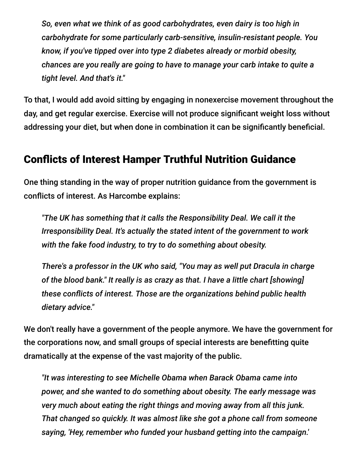*So, even what we think of as good carbohydrates, even dairy is too high in carbohydrate for some particularly carb-sensitive, insulin-resistant people. You know, if you've tipped over into type 2 diabetes already or morbid obesity, chances are you really are going to have to manage your carb intake to quite a tight level. And that's it."*

To that, I would add avoid sitting by engaging in nonexercise movement throughout the day, and get regular exercise. Exercise will not produce significant weight loss without addressing your diet, but when done in combination it can be significantly beneficial.

#### Conflicts of Interest Hamper Truthful Nutrition Guidance

One thing standing in the way of proper nutrition guidance from the government is conflicts of interest. As Harcombe explains:

*"The UK has something that it calls the Responsibility Deal. We call it the Irresponsibility Deal. It's actually the stated intent of the government to work with the fake food industry, to try to do something about obesity.*

*There's a professor in the UK who said, "You may as well put Dracula in charge of the blood bank." It really is as crazy as that. I have a little chart [showing] these conflicts of interest. Those are the organizations behind public health dietary advice."*

We don't really have a government of the people anymore. We have the government for the corporations now, and small groups of special interests are benefitting quite dramatically at the expense of the vast majority of the public.

*"It was interesting to see Michelle Obama when Barack Obama came into power, and she wanted to do something about obesity. The early message was very much about eating the right things and moving away from all this junk. That changed so quickly. It was almost like she got a phone call from someone saying, 'Hey, remember who funded your husband getting into the campaign.'*